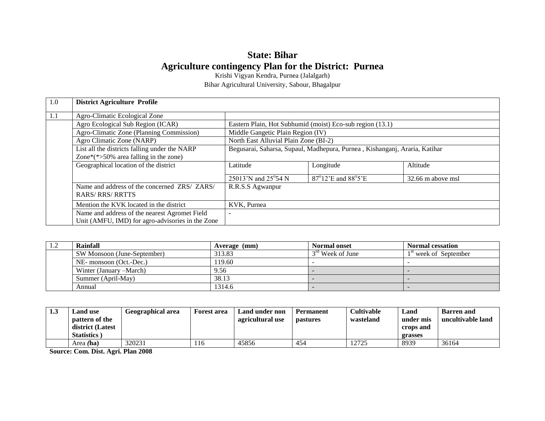# **State: Bihar Agriculture contingency Plan for the District: Purnea**

Krishi Vigyan Kendra, Purnea (Jalalgarh)

Bihar Agricultural University, Sabour, Bhagalpur

| 1.0 | <b>District Agriculture Profile</b>                                                               |                                       |                                                                            |                   |
|-----|---------------------------------------------------------------------------------------------------|---------------------------------------|----------------------------------------------------------------------------|-------------------|
| 1.1 | Agro-Climatic Ecological Zone                                                                     |                                       |                                                                            |                   |
|     | Agro Ecological Sub Region (ICAR)                                                                 |                                       | Eastern Plain, Hot Subhumid (moist) Eco-sub region (13.1)                  |                   |
|     | Agro-Climatic Zone (Planning Commission)                                                          | Middle Gangetic Plain Region (IV)     |                                                                            |                   |
|     | Agro Climatic Zone (NARP)                                                                         | North East Alluvial Plain Zone (BI-2) |                                                                            |                   |
|     | List all the districts falling under the NARP                                                     |                                       | Begusarai, Saharsa, Supaul, Madhepura, Purnea, Kishanganj, Araria, Katihar |                   |
|     | Zone $*(*>50\%$ area falling in the zone)                                                         |                                       |                                                                            |                   |
|     | Geographical location of the district                                                             | Latitude                              | Longitude                                                                  | Altitude          |
|     |                                                                                                   | 25013'N and 25°54 N                   | $87^{\circ}12$ 'E and $88^{\circ}5$ 'E                                     | 32.66 m above msl |
|     | Name and address of the concerned ZRS/ ZARS/<br><b>RARS/RRS/RRTTS</b>                             | R.R.S.S Agwanpur                      |                                                                            |                   |
|     | Mention the KVK located in the district                                                           | KVK, Purnea                           |                                                                            |                   |
|     | Name and address of the nearest Agromet Field<br>Unit (AMFU, IMD) for agro-advisories in the Zone | ۰                                     |                                                                            |                   |

| $\mathbf{1} \cdot \mathbf{4}$ | Rainfall                    | Average (mm) | <b>Normal onset</b> | <b>Normal cessation</b> |
|-------------------------------|-----------------------------|--------------|---------------------|-------------------------|
|                               | SW Monsoon (June-September) | 313.83       | $3rd$ Week of June  | $1st$ week of September |
|                               | NE- monsoon (Oct.-Dec.)     | 119.60       |                     |                         |
|                               | Winter (January – March)    | 9.56         |                     |                         |
|                               | Summer (April-May)          | 38.13        |                     |                         |
|                               | Annual                      | 1314.6       |                     |                         |

| 1.3 | and use.<br>pattern of the<br>district (Latest<br>Statistics. | Geographical area | Forest area | Land under non<br>agricultural use | <b>Permanent</b><br><b>pastures</b> | <b>Cultivable</b><br>wasteland | Land<br>under mis<br>crops and<br>grasses | <b>Barren</b> and<br>uncultivable land |
|-----|---------------------------------------------------------------|-------------------|-------------|------------------------------------|-------------------------------------|--------------------------------|-------------------------------------------|----------------------------------------|
|     | Area (ha)                                                     | 320231            | 116         | 45856                              | 454                                 | 12725                          | 8939                                      | 36164                                  |

**Source: Com. Dist. Agri. Plan 2008**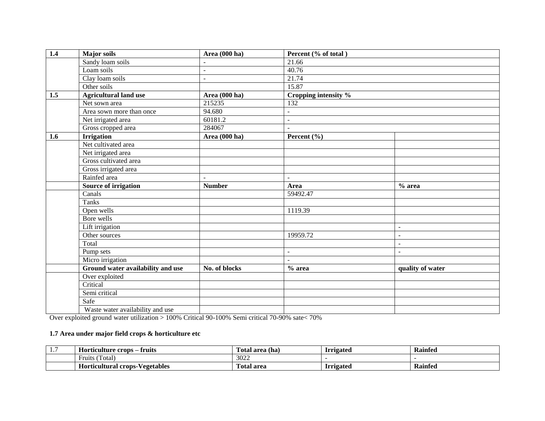| 1.4 | Major soils                       | Area (000 ha)        | Percent (% of total)     |                  |
|-----|-----------------------------------|----------------------|--------------------------|------------------|
|     | Sandy loam soils                  |                      | 21.66                    |                  |
|     | Loam soils                        | $\blacksquare$       | 40.76                    |                  |
|     | Clay loam soils                   | $\mathbf{r}$         | 21.74                    |                  |
|     | Other soils                       |                      | 15.87                    |                  |
| 1.5 | <b>Agricultural land use</b>      | Area (000 ha)        | Cropping intensity %     |                  |
|     | Net sown area                     | 215235               | 132                      |                  |
|     | Area sown more than once          | 94.680               | $\overline{a}$           |                  |
|     | Net irrigated area                | 60181.2              | $\blacksquare$           |                  |
|     | Gross cropped area                | 284067               | $\overline{a}$           |                  |
| 1.6 | <b>Irrigation</b>                 | <b>Area</b> (000 ha) | Percent (%)              |                  |
|     | Net cultivated area               |                      |                          |                  |
|     | Net irrigated area                |                      |                          |                  |
|     | Gross cultivated area             |                      |                          |                  |
|     | Gross irrigated area              |                      |                          |                  |
|     | Rainfed area                      | $\blacksquare$       | $\overline{\phantom{a}}$ |                  |
|     | Source of irrigation              | <b>Number</b>        | Area                     | $%$ area         |
|     | Canals                            |                      | 59492.47                 |                  |
|     | Tanks                             |                      |                          |                  |
|     | Open wells                        |                      | 1119.39                  |                  |
|     | Bore wells                        |                      |                          |                  |
|     | Lift irrigation                   |                      |                          | $\blacksquare$   |
|     | Other sources                     |                      | 19959.72                 | $\overline{a}$   |
|     | Total                             |                      |                          | $\overline{a}$   |
|     | Pump sets                         |                      | $\blacksquare$           | $\overline{a}$   |
|     | Micro irrigation                  |                      | $\overline{a}$           |                  |
|     | Ground water availability and use | No. of blocks        | $%$ area                 | quality of water |
|     | Over exploited                    |                      |                          |                  |
|     | Critical                          |                      |                          |                  |
|     | Semi critical                     |                      |                          |                  |
|     | Safe                              |                      |                          |                  |
|     | Waste water availability and use  |                      |                          |                  |

Over exploited ground water utilization > 100% Critical 90-100% Semi critical 70-90% sate< 70%

# **1.7 Area under major field crops & horticulture etc**

| . | fruits<br>Horticulture crops :             | l'otal<br>l area (ha) | <b>Irrigated</b> | <b>Rainfed</b> |
|---|--------------------------------------------|-----------------------|------------------|----------------|
|   | $\sim$<br>Fruits<br>Total                  | 3022                  |                  |                |
|   | -Vegetables<br><b>Horticultural crops-</b> | l`otal<br>area        | <b>Irrigated</b> | Rainfed        |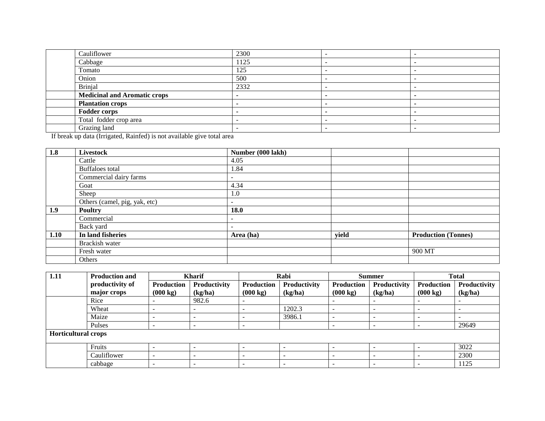| Cauliflower                         | 2300 | $\overline{\phantom{a}}$ |  |
|-------------------------------------|------|--------------------------|--|
| Cabbage                             | 1125 |                          |  |
| Tomato                              | 125  | -                        |  |
| Onion                               | 500  |                          |  |
| Brinjal                             | 2332 |                          |  |
| <b>Medicinal and Aromatic crops</b> |      |                          |  |
| <b>Plantation crops</b>             |      |                          |  |
| <b>Fodder corps</b>                 |      |                          |  |
| Total fodder crop area              |      |                          |  |
| Grazing land                        |      |                          |  |

If break up data (Irrigated, Rainfed) is not available give total area

| 1.8  | <b>Livestock</b>              | Number (000 lakh)        |       |                            |
|------|-------------------------------|--------------------------|-------|----------------------------|
|      | Cattle                        | 4.05                     |       |                            |
|      | <b>Buffaloes</b> total        | 1.84                     |       |                            |
|      | Commercial dairy farms        | $\overline{\phantom{a}}$ |       |                            |
|      | Goat                          | 4.34                     |       |                            |
|      | Sheep                         | 1.0                      |       |                            |
|      | Others (camel, pig, yak, etc) | $\overline{\phantom{a}}$ |       |                            |
| 1.9  | <b>Poultry</b>                | <b>18.0</b>              |       |                            |
|      | Commercial                    | $\overline{\phantom{a}}$ |       |                            |
|      | Back yard                     | $\overline{\phantom{a}}$ |       |                            |
| 1.10 | In land fisheries             | Area (ha)                | yield | <b>Production (Tonnes)</b> |
|      | Brackish water                |                          |       |                            |
|      | Fresh water                   |                          |       | 900 MT                     |
|      | <b>Others</b>                 |                          |       |                            |

| 1.11                       | <b>Production and</b><br><b>Kharif</b> |                    |              |                          | Rabi                     |                    | <b>Summer</b> | <b>Total</b>             |              |
|----------------------------|----------------------------------------|--------------------|--------------|--------------------------|--------------------------|--------------------|---------------|--------------------------|--------------|
|                            | productivity of                        | Production         | Productivity | Production               | Productivity             | <b>Production</b>  | Productivity  | <b>Production</b>        | Productivity |
|                            | major crops                            | $(000 \text{ kg})$ | (kg/ha)      | $(000 \text{ kg})$       | (kg/ha)                  | $(000 \text{ kg})$ | (kg/ha)       | $(000 \text{ kg})$       | (kg/ha)      |
|                            | Rice                                   |                    | 982.6        |                          |                          |                    |               |                          |              |
|                            | Wheat                                  |                    |              | $\overline{\phantom{a}}$ | 1202.3                   |                    | -             | <b>.</b>                 |              |
|                            | Maize                                  |                    |              | <b>.</b>                 | 3986.1                   |                    | -             |                          |              |
|                            | Pulses                                 |                    | -            | <b>.</b>                 |                          |                    | -             | $\overline{\phantom{0}}$ | 29649        |
| <b>Horticultural crops</b> |                                        |                    |              |                          |                          |                    |               |                          |              |
|                            | Fruits                                 |                    |              | . .                      |                          |                    |               |                          | 3022         |
|                            | Cauliflower                            |                    |              | <b>.</b>                 |                          |                    |               |                          | 2300         |
|                            | cabbage                                |                    | -            | $\overline{\phantom{0}}$ | $\overline{\phantom{a}}$ |                    | -             | <b>.</b>                 | 1125         |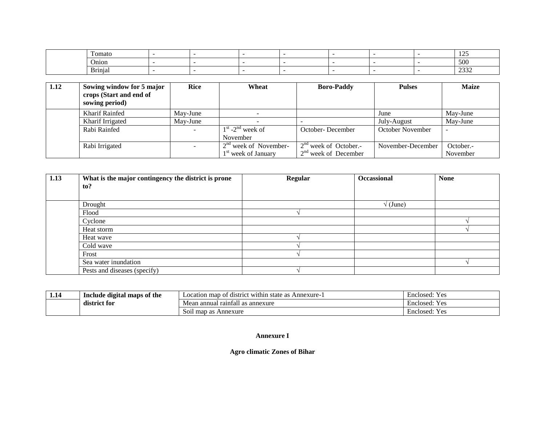| $\overline{\phantom{a}}$<br>`omato |  |  |  | $\sim$ $\sim$<br>ر بے ب      |
|------------------------------------|--|--|--|------------------------------|
| Onion                              |  |  |  | $\sim$ $\sim$ $\sim$<br>-JUU |
| $\mathbf{r}$ .<br>Brinjal          |  |  |  | $\sim$<br>ے ت ب              |

| 1.12 | Sowing window for 5 major<br>crops (Start and end of<br>sowing period) | <b>Rice</b>              | Wheat                           | <b>Boro-Paddy</b>       | <b>Pulses</b>     | <b>Maize</b> |
|------|------------------------------------------------------------------------|--------------------------|---------------------------------|-------------------------|-------------------|--------------|
|      | Kharif Rainfed                                                         | May-June                 |                                 |                         | June              | May-June     |
|      | Kharif Irrigated                                                       | May-June                 |                                 |                         | July-August       | May-June     |
|      | Rabi Rainfed                                                           | $\overline{\phantom{a}}$ | $1st$ -2 <sup>nd</sup> week of  | October-December        | October November  |              |
|      |                                                                        |                          | November                        |                         |                   |              |
|      | Rabi Irrigated                                                         |                          | $2na$ week of November-         | $2nd$ week of October.- | November-December | October.-    |
|      |                                                                        |                          | 1 <sup>st</sup> week of January | $2nd$ week of December  |                   | November     |

| 1.13 | What is the major contingency the district is prone | <b>Regular</b> | Occassional | <b>None</b> |
|------|-----------------------------------------------------|----------------|-------------|-------------|
|      | to?                                                 |                |             |             |
|      |                                                     |                |             |             |
|      | Drought                                             |                | (June)      |             |
|      | Flood                                               |                |             |             |
|      | Cyclone                                             |                |             |             |
|      | Heat storm                                          |                |             |             |
|      | Heat wave                                           |                |             |             |
|      | Cold wave                                           |                |             |             |
|      | Frost                                               |                |             |             |
|      | Sea water inundation                                |                |             |             |
|      | Pests and diseases (specify)                        |                |             |             |

| . | Include digital maps of the | $\cdot$<br>∵ within<br>Annexure-<br>district<br>state<br>map<br>Location<br>$\alpha$ | Enclosed:<br>⊢ ص<br>エレ |
|---|-----------------------------|--------------------------------------------------------------------------------------|------------------------|
|   | $\bullet$<br>district for   | Mean annual rainfall<br>l as annexure                                                | Enclosed:<br>Y e:      |
|   |                             | Annexure<br>map as<br>S011                                                           | Enclosed:<br>Y es      |

#### **Annexure I**

## **Agro climatic Zones of Bihar**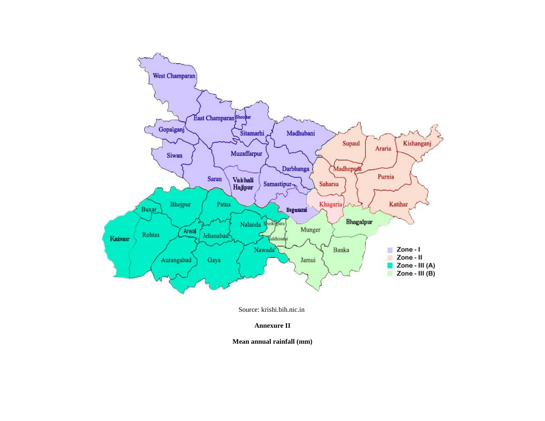

Source: krishi.bih.nic.in

**Annexure II**

**Mean annual rainfall (mm)**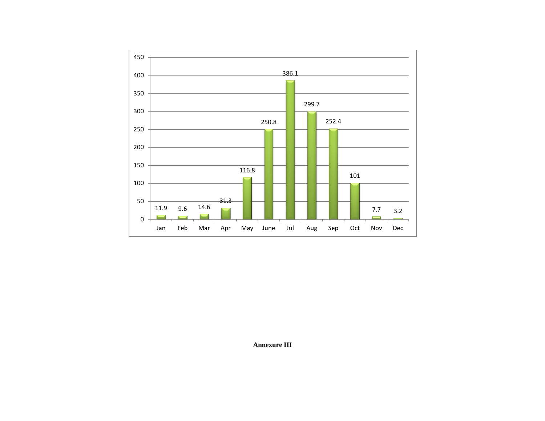

**Annexure III**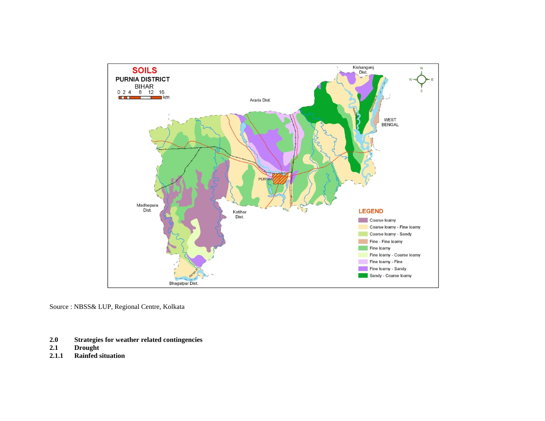

Source : NBSS& LUP, Regional Centre, Kolkata

- **2.0 Strategies for weather related contingencies**
- **2.1 Drought**
- **2.1.1 Rainfed situation**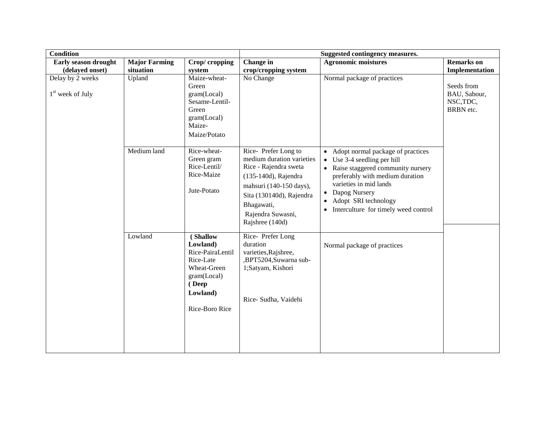| <b>Condition</b>                                 |                                   |                                                                                                                            | Suggested contingency measures.                                                                                                                                                                                |                                                                                                                                                                                                                                                                                  |                                                      |  |
|--------------------------------------------------|-----------------------------------|----------------------------------------------------------------------------------------------------------------------------|----------------------------------------------------------------------------------------------------------------------------------------------------------------------------------------------------------------|----------------------------------------------------------------------------------------------------------------------------------------------------------------------------------------------------------------------------------------------------------------------------------|------------------------------------------------------|--|
| Early season drought<br>(delayed onset)          | <b>Major Farming</b><br>situation | Crop/cropping<br>system                                                                                                    | <b>Change</b> in<br>crop/cropping system                                                                                                                                                                       | <b>Agronomic moistures</b>                                                                                                                                                                                                                                                       | <b>Remarks</b> on<br>Implementation                  |  |
| Delay by 2 weeks<br>1 <sup>st</sup> week of July | Upland                            | Maize-wheat-<br>Green<br>gram(Local)<br>Sesame-Lentil-<br>Green<br>gram(Local)<br>Maize-<br>Maize/Potato                   | No Change                                                                                                                                                                                                      | Normal package of practices                                                                                                                                                                                                                                                      | Seeds from<br>BAU, Sabour,<br>NSC, TDC,<br>BRBN etc. |  |
|                                                  | Medium land                       | Rice-wheat-<br>Green gram<br>Rice-Lentil/<br>Rice-Maize<br>Jute-Potato                                                     | Rice-Prefer Long to<br>medium duration varieties<br>Rice - Rajendra sweta<br>(135-140d), Rajendra<br>mahsuri (140-150 days),<br>Sita (130140d), Rajendra<br>Bhagawati,<br>Rajendra Suwasni,<br>Rajshree (140d) | • Adopt normal package of practices<br>$\bullet$ Use 3-4 seedling per hill<br>• Raise staggered community nursery<br>preferably with medium duration<br>varieties in mid lands<br>• Dapog Nursery<br>Adopt SRI technology<br>$\bullet$<br>• Interculture for timely weed control |                                                      |  |
|                                                  | Lowland                           | (Shallow<br>Lowland)<br>Rice-PairaLentil<br>Rice-Late<br>Wheat-Green<br>gram(Local)<br>(Deep<br>Lowland)<br>Rice-Boro Rice | Rice-Prefer Long<br>duration<br>varieties, Rajshree,<br>,BPT5204,Suwarna sub-<br>1;Satyam, Kishori<br>Rice- Sudha, Vaidehi                                                                                     | Normal package of practices                                                                                                                                                                                                                                                      |                                                      |  |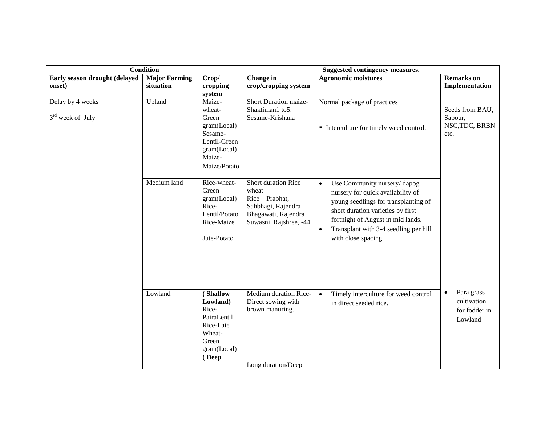|                                        |                      | <b>Condition</b>                                                                                     |                                                                                                                           | Suggested contingency measures.                                                                                                                                                                                                                                              |                                                                    |  |  |
|----------------------------------------|----------------------|------------------------------------------------------------------------------------------------------|---------------------------------------------------------------------------------------------------------------------------|------------------------------------------------------------------------------------------------------------------------------------------------------------------------------------------------------------------------------------------------------------------------------|--------------------------------------------------------------------|--|--|
| Early season drought (delayed          | <b>Major Farming</b> | Crop/                                                                                                | Change in                                                                                                                 | <b>Agronomic moistures</b>                                                                                                                                                                                                                                                   | <b>Remarks</b> on                                                  |  |  |
| onset)                                 | situation            | cropping                                                                                             | crop/cropping system                                                                                                      |                                                                                                                                                                                                                                                                              | Implementation                                                     |  |  |
| Delay by 4 weeks<br>$3rd$ week of July | Upland               | system<br>Maize-<br>wheat-<br>Green<br>gram(Local)<br>Sesame-<br>Lentil-Green                        | Short Duration maize-<br>Shaktiman1 to5.<br>Sesame-Krishana                                                               | Normal package of practices<br>• Interculture for timely weed control.                                                                                                                                                                                                       | Seeds from BAU,<br>Sabour,<br>NSC, TDC, BRBN<br>etc.               |  |  |
|                                        |                      | gram(Local)<br>Maize-<br>Maize/Potato                                                                |                                                                                                                           |                                                                                                                                                                                                                                                                              |                                                                    |  |  |
|                                        | Medium land          | Rice-wheat-<br>Green<br>gram(Local)<br>Rice-<br>Lentil/Potato<br>Rice-Maize<br>Jute-Potato           | Short duration $Rice$ –<br>wheat<br>Rice - Prabhat,<br>Sahbhagi, Rajendra<br>Bhagawati, Rajendra<br>Suwasni Rajshree, -44 | Use Community nursery/dapog<br>$\bullet$<br>nursery for quick availability of<br>young seedlings for transplanting of<br>short duration varieties by first<br>fortnight of August in mid lands.<br>Transplant with 3-4 seedling per hill<br>$\bullet$<br>with close spacing. |                                                                    |  |  |
|                                        | Lowland              | (Shallow<br>Lowland)<br>Rice-<br>PairaLentil<br>Rice-Late<br>Wheat-<br>Green<br>gram(Local)<br>(Deep | Medium duration Rice-<br>Direct sowing with<br>brown manuring.<br>Long duration/Deep                                      | Timely interculture for weed control<br>$\bullet$<br>in direct seeded rice.                                                                                                                                                                                                  | Para grass<br>$\bullet$<br>cultivation<br>for fodder in<br>Lowland |  |  |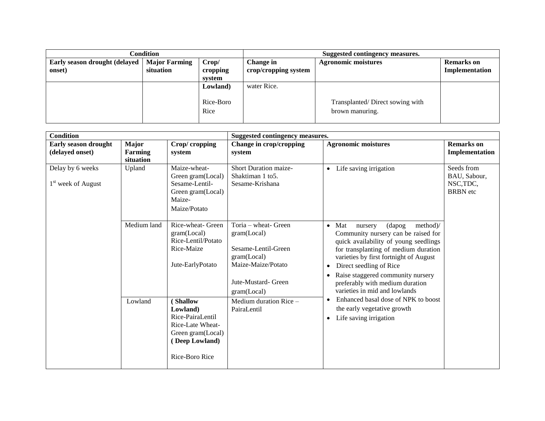| Condition                               |                                   |                                                                  |             | Suggested contingency measures.                    |                                     |
|-----------------------------------------|-----------------------------------|------------------------------------------------------------------|-------------|----------------------------------------------------|-------------------------------------|
| Early season drought (delayed<br>onset) | <b>Major Farming</b><br>situation | Crop/<br>Change in<br>crop/cropping system<br>cropping<br>system |             | <b>Agronomic moistures</b>                         | <b>Remarks</b> on<br>Implementation |
|                                         |                                   | Lowland)<br>Rice-Boro<br>Rice                                    | water Rice. | Transplanted/Direct sowing with<br>brown manuring. |                                     |

| <b>Condition</b>                                   |                                      |                                                                                                                             | Suggested contingency measures.                                                                                                        |                                                                                                                                                                                                                                                                                                                                                                                    |                                                            |  |  |  |
|----------------------------------------------------|--------------------------------------|-----------------------------------------------------------------------------------------------------------------------------|----------------------------------------------------------------------------------------------------------------------------------------|------------------------------------------------------------------------------------------------------------------------------------------------------------------------------------------------------------------------------------------------------------------------------------------------------------------------------------------------------------------------------------|------------------------------------------------------------|--|--|--|
| <b>Early season drought</b><br>(delayed onset)     | <b>Major</b><br>Farming<br>situation | Crop/cropping<br>system                                                                                                     | Change in crop/cropping<br>system                                                                                                      | <b>Agronomic moistures</b>                                                                                                                                                                                                                                                                                                                                                         | <b>Remarks</b> on<br>Implementation                        |  |  |  |
| Delay by 6 weeks<br>1 <sup>st</sup> week of August | Upland                               | Maize-wheat-<br>Green gram(Local)<br>Sesame-Lentil-<br>Green gram(Local)<br>Maize-<br>Maize/Potato                          | <b>Short Duration maize-</b><br>Shaktiman 1 to 5.<br>Sesame-Krishana                                                                   | Life saving irrigation<br>$\bullet$                                                                                                                                                                                                                                                                                                                                                | Seeds from<br>BAU, Sabour,<br>NSC, TDC,<br><b>BRBN</b> etc |  |  |  |
|                                                    | Medium land                          | Rice-wheat- Green<br>gram (Local)<br>Rice-Lentil/Potato<br>Rice-Maize<br>Jute-EarlyPotato                                   | Toria – wheat- Green<br>gram (Local)<br>Sesame-Lentil-Green<br>gram(Local)<br>Maize-Maize/Potato<br>Jute-Mustard- Green<br>gram(Local) | method)/<br>Mat<br>(dapog)<br>nursery<br>$\bullet$<br>Community nursery can be raised for<br>quick availability of young seedlings<br>for transplanting of medium duration<br>varieties by first fortnight of August<br>Direct seedling of Rice<br>$\bullet$<br>Raise staggered community nursery<br>$\bullet$<br>preferably with medium duration<br>varieties in mid and lowlands |                                                            |  |  |  |
|                                                    | Lowland                              | <b>Shallow</b><br>Lowland)<br>Rice-PairaLentil<br>Rice-Late Wheat-<br>Green gram(Local)<br>(Deep Lowland)<br>Rice-Boro Rice | Medium duration Rice -<br>PairaLentil                                                                                                  | Enhanced basal dose of NPK to boost<br>$\bullet$<br>the early vegetative growth<br>Life saving irrigation<br>$\bullet$                                                                                                                                                                                                                                                             |                                                            |  |  |  |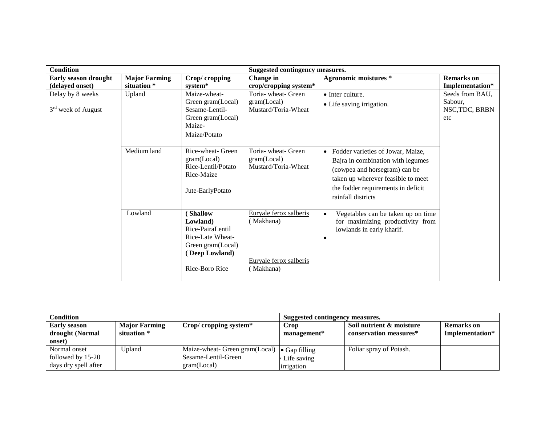| <b>Condition</b>     |                                       |                                   | Suggested contingency measures.           |                                                 |                   |  |
|----------------------|---------------------------------------|-----------------------------------|-------------------------------------------|-------------------------------------------------|-------------------|--|
| Early season drought | <b>Major Farming</b><br>Crop/cropping |                                   | <b>Agronomic moistures *</b><br>Change in |                                                 | <b>Remarks</b> on |  |
| (delayed onset)      | situation *                           | system*                           | crop/cropping system*                     |                                                 | Implementation*   |  |
| Delay by 8 weeks     | Upland                                | Maize-wheat-                      | Toria- wheat- Green                       | $\bullet$ Inter culture.                        | Seeds from BAU,   |  |
|                      |                                       | Green gram(Local)                 | gram (Local)                              | • Life saving irrigation.                       | Sabour,           |  |
| $3rd$ week of August |                                       | Sesame-Lentil-                    | Mustard/Toria-Wheat                       |                                                 | NSC, TDC, BRBN    |  |
|                      |                                       | Green gram(Local)                 |                                           |                                                 | etc               |  |
|                      |                                       | Maize-                            |                                           |                                                 |                   |  |
|                      |                                       | Maize/Potato                      |                                           |                                                 |                   |  |
|                      |                                       |                                   |                                           |                                                 |                   |  |
|                      | Medium land                           | Rice-wheat- Green                 | Toria- wheat- Green                       | • Fodder varieties of Jowar, Maize,             |                   |  |
|                      |                                       | gram(Local)<br>Rice-Lentil/Potato | gram(Local)<br>Mustard/Toria-Wheat        | Bajra in combination with legumes               |                   |  |
|                      |                                       | Rice-Maize                        |                                           | (cowpea and horsegram) can be                   |                   |  |
|                      |                                       |                                   |                                           | taken up wherever feasible to meet              |                   |  |
|                      |                                       | Jute-EarlyPotato                  |                                           | the fodder requirements in deficit              |                   |  |
|                      |                                       |                                   |                                           | rainfall districts                              |                   |  |
|                      |                                       |                                   |                                           |                                                 |                   |  |
|                      | Lowland                               | <b>Shallow</b>                    | Euryale ferox salberis                    | Vegetables can be taken up on time<br>$\bullet$ |                   |  |
|                      |                                       | Lowland)                          | (Makhana)                                 | for maximizing productivity from                |                   |  |
|                      |                                       | Rice-PairaLentil                  |                                           | lowlands in early kharif.                       |                   |  |
|                      |                                       | Rice-Late Wheat-                  |                                           |                                                 |                   |  |
|                      |                                       | Green gram(Local)                 |                                           |                                                 |                   |  |
|                      |                                       | (Deep Lowland)                    |                                           |                                                 |                   |  |
|                      |                                       |                                   | Euryale ferox salberis                    |                                                 |                   |  |
|                      |                                       | Rice-Boro Rice                    | (Makhana)                                 |                                                 |                   |  |
|                      |                                       |                                   |                                           |                                                 |                   |  |

| Condition            |                      |                                                      | Suggested contingency measures. |                          |                   |  |
|----------------------|----------------------|------------------------------------------------------|---------------------------------|--------------------------|-------------------|--|
| <b>Early season</b>  | <b>Major Farming</b> | $Crop/croping system*$                               | Crop                            | Soil nutrient & moisture | <b>Remarks</b> on |  |
| drought (Normal      | situation *          |                                                      | management*                     | conservation measures*   | Implementation*   |  |
| onset)               |                      |                                                      |                                 |                          |                   |  |
| Normal onset         | Jpland               | Maize-wheat- Green gram(Local) $\bullet$ Gap filling |                                 | Foliar spray of Potash.  |                   |  |
| followed by 15-20    |                      | Sesame-Lentil-Green                                  | Life saving                     |                          |                   |  |
| days dry spell after |                      | gram (Local)                                         | irrigation                      |                          |                   |  |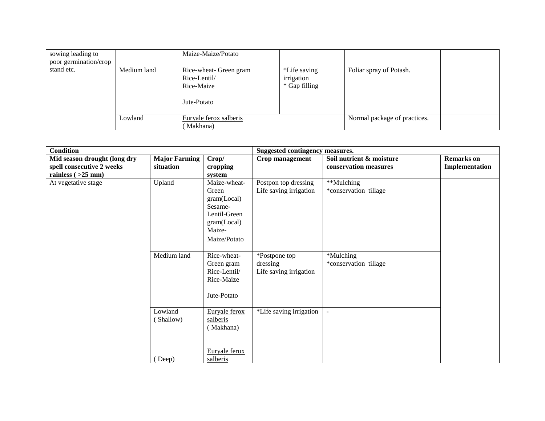| sowing leading to<br>poor germination/crop |             | Maize-Maize/Potato                                                  |                                             |                              |  |
|--------------------------------------------|-------------|---------------------------------------------------------------------|---------------------------------------------|------------------------------|--|
| stand etc.                                 | Medium land | Rice-wheat- Green gram<br>Rice-Lentil/<br>Rice-Maize<br>Jute-Potato | *Life saving<br>irrigation<br>* Gap filling | Foliar spray of Potash.      |  |
|                                            | Lowland     | Euryale ferox salberis                                              |                                             | Normal package of practices. |  |
|                                            |             | Makhana)                                                            |                                             |                              |  |

| <b>Condition</b>                                                                  |                                   |                                                                                                          | Suggested contingency measures.                     |                                                   |                                     |
|-----------------------------------------------------------------------------------|-----------------------------------|----------------------------------------------------------------------------------------------------------|-----------------------------------------------------|---------------------------------------------------|-------------------------------------|
| Mid season drought (long dry<br>spell consecutive 2 weeks<br>rainless $( >25$ mm) | <b>Major Farming</b><br>situation | Crop/<br>cropping<br>system                                                                              | Crop management                                     | Soil nutrient & moisture<br>conservation measures | <b>Remarks</b> on<br>Implementation |
| At vegetative stage                                                               | Upland                            | Maize-wheat-<br>Green<br>gram(Local)<br>Sesame-<br>Lentil-Green<br>gram(Local)<br>Maize-<br>Maize/Potato | Postpon top dressing<br>Life saving irrigation      | **Mulching<br>*conservation tillage               |                                     |
|                                                                                   | Medium land                       | Rice-wheat-<br>Green gram<br>Rice-Lentil/<br>Rice-Maize<br>Jute-Potato                                   | *Postpone top<br>dressing<br>Life saving irrigation | *Mulching<br>*conservation tillage                |                                     |
|                                                                                   | Lowland<br>(Shallow)              | Euryale ferox<br>salberis<br>(Makhana)<br>Euryale ferox                                                  | *Life saving irrigation                             |                                                   |                                     |
|                                                                                   | (Deep)                            | salberis                                                                                                 |                                                     |                                                   |                                     |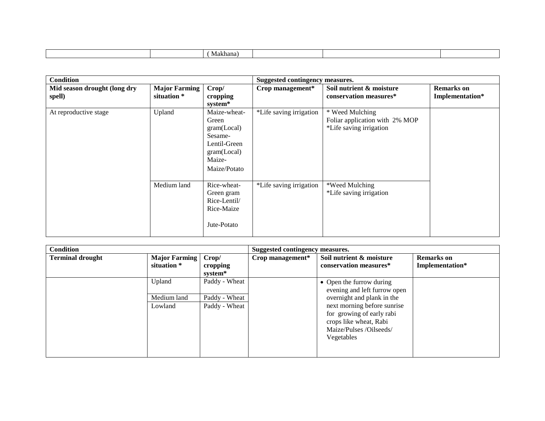| <b>Condition</b>                       |                                     |                                                                                                            | Suggested contingency measures. |                                                                              |                                      |
|----------------------------------------|-------------------------------------|------------------------------------------------------------------------------------------------------------|---------------------------------|------------------------------------------------------------------------------|--------------------------------------|
| Mid season drought (long dry<br>spell) | <b>Major Farming</b><br>situation * | Crop/<br>cropping<br>system*                                                                               | Crop management*                | Soil nutrient & moisture<br>conservation measures*                           | <b>Remarks</b> on<br>Implementation* |
| At reproductive stage                  | Upland                              | Maize-wheat-<br>Green<br>gram (Local)<br>Sesame-<br>Lentil-Green<br>gram (Local)<br>Maize-<br>Maize/Potato | *Life saving irrigation         | * Weed Mulching<br>Foliar application with 2% MOP<br>*Life saving irrigation |                                      |
|                                        | Medium land                         | Rice-wheat-<br>Green gram<br>Rice-Lentil/<br>Rice-Maize<br>Jute-Potato                                     | *Life saving irrigation         | *Weed Mulching<br>*Life saving irrigation                                    |                                      |

| <b>Condition</b>        |                                     |                   | Suggested contingency measures. |                                                                                                                             |                                      |
|-------------------------|-------------------------------------|-------------------|---------------------------------|-----------------------------------------------------------------------------------------------------------------------------|--------------------------------------|
| <b>Terminal drought</b> | <b>Major Farming</b><br>situation * | Crop/<br>cropping | Crop management*                | Soil nutrient & moisture<br>conservation measures*                                                                          | <b>Remarks</b> on<br>Implementation* |
|                         |                                     | system*           |                                 |                                                                                                                             |                                      |
|                         | Upland                              | Paddy - Wheat     |                                 | • Open the furrow during<br>evening and left furrow open                                                                    |                                      |
|                         | Medium land                         | Paddy - Wheat     |                                 | overnight and plank in the                                                                                                  |                                      |
|                         | Lowland                             | Paddy - Wheat     |                                 | next morning before sunrise<br>for growing of early rabi<br>crops like wheat, Rabi<br>Maize/Pulses /Oilseeds/<br>Vegetables |                                      |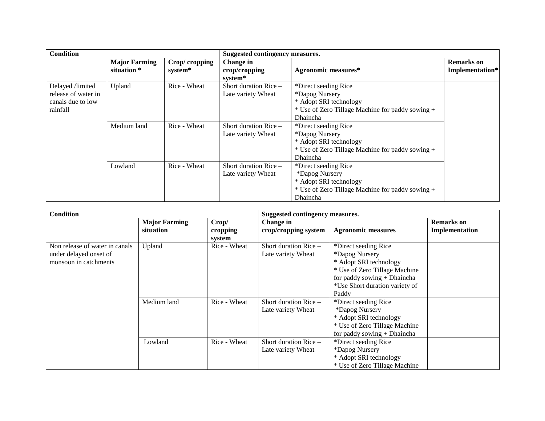| <b>Condition</b>                                                         |                                     |                          | Suggested contingency measures.               |                                                                                                                                  |                                      |
|--------------------------------------------------------------------------|-------------------------------------|--------------------------|-----------------------------------------------|----------------------------------------------------------------------------------------------------------------------------------|--------------------------------------|
|                                                                          | <b>Major Farming</b><br>situation * | Crop/cropping<br>system* | <b>Change</b> in<br>crop/cropping<br>system*  | <b>Agronomic measures*</b>                                                                                                       | <b>Remarks</b> on<br>Implementation* |
| Delayed /limited<br>release of water in<br>canals due to low<br>rainfall | Upland                              | Rice - Wheat             | Short duration $Rice$ –<br>Late variety Wheat | *Direct seeding Rice<br>*Dapog Nursery<br>* Adopt SRI technology<br>* Use of Zero Tillage Machine for paddy sowing +<br>Dhaincha |                                      |
|                                                                          | Medium land                         | Rice - Wheat             | Short duration $Rice$ –<br>Late variety Wheat | *Direct seeding Rice<br>*Dapog Nursery<br>* Adopt SRI technology<br>* Use of Zero Tillage Machine for paddy sowing +<br>Dhaincha |                                      |
|                                                                          | Lowland                             | Rice - Wheat             | Short duration $Rice -$<br>Late variety Wheat | *Direct seeding Rice<br>*Dapog Nursery<br>* Adopt SRI technology<br>* Use of Zero Tillage Machine for paddy sowing +<br>Dhaincha |                                      |

| <b>Condition</b>                                                                  |                                   |                             | Suggested contingency measures.               |                                                                                                                                                                             |                                     |
|-----------------------------------------------------------------------------------|-----------------------------------|-----------------------------|-----------------------------------------------|-----------------------------------------------------------------------------------------------------------------------------------------------------------------------------|-------------------------------------|
|                                                                                   | <b>Major Farming</b><br>situation | Crop/<br>cropping<br>system | Change in<br>crop/cropping system             | <b>Agronomic measures</b>                                                                                                                                                   | <b>Remarks</b> on<br>Implementation |
| Non release of water in canals<br>under delayed onset of<br>monsoon in catchments | Upland                            | Rice - Wheat                | Short duration $Rice -$<br>Late variety Wheat | *Direct seeding Rice<br>*Dapog Nursery<br>* Adopt SRI technology<br>* Use of Zero Tillage Machine<br>for paddy sowing + Dhaincha<br>*Use Short duration variety of<br>Paddy |                                     |
|                                                                                   | Medium land                       | Rice - Wheat                | Short duration Rice $-$<br>Late variety Wheat | *Direct seeding Rice<br>*Dapog Nursery<br>* Adopt SRI technology<br>* Use of Zero Tillage Machine<br>for paddy sowing $+$ Dhaincha                                          |                                     |
|                                                                                   | Lowland                           | Rice - Wheat                | Short duration Rice -<br>Late variety Wheat   | *Direct seeding Rice<br>*Dapog Nursery<br>* Adopt SRI technology<br>* Use of Zero Tillage Machine                                                                           |                                     |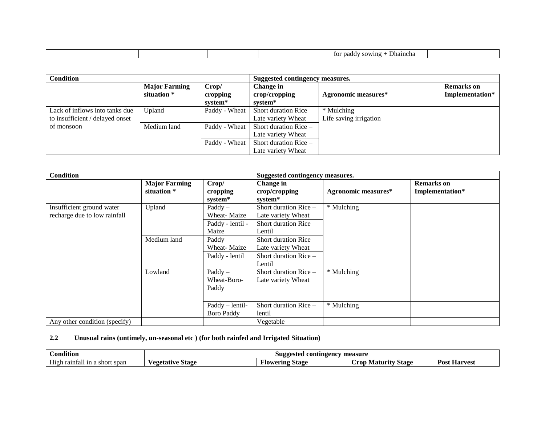|  |  | $\overline{\phantom{a}}$<br>Dhaincha<br>sowing<br>paddy<br>tor |  |
|--|--|----------------------------------------------------------------|--|
|  |  |                                                                |  |

| <b>Condition</b>                                                  |                                     |                              | Suggested contingency measures.                   |                                      |                                      |
|-------------------------------------------------------------------|-------------------------------------|------------------------------|---------------------------------------------------|--------------------------------------|--------------------------------------|
|                                                                   | <b>Major Farming</b><br>situation * | Crop/<br>cropping<br>system* | Change in<br>$\mathbf{crop/c}$ ropping<br>system* | Agronomic measures*                  | <b>Remarks</b> on<br>Implementation* |
| Lack of inflows into tanks due<br>to insufficient / delayed onset | Upland                              | Paddy - Wheat                | Short duration Rice $-$<br>Late variety Wheat     | * Mulching<br>Life saving irrigation |                                      |
| of monsoon                                                        | Medium land                         | Paddy - Wheat                | Short duration Rice $-$<br>Late variety Wheat     |                                      |                                      |
|                                                                   |                                     | Paddy - Wheat                | Short duration Rice $-$<br>Late variety Wheat     |                                      |                                      |

| <b>Condition</b>                                          |                                     |                                                              | Suggested contingency measures.                                                    |                            |                                      |
|-----------------------------------------------------------|-------------------------------------|--------------------------------------------------------------|------------------------------------------------------------------------------------|----------------------------|--------------------------------------|
|                                                           | <b>Major Farming</b><br>situation * | Crop/<br>cropping<br>system*                                 | Change in<br>crop/cropping<br>system*                                              | <b>Agronomic measures*</b> | <b>Remarks</b> on<br>Implementation* |
| Insufficient ground water<br>recharge due to low rainfall | Upland                              | $\text{Paddy} -$<br>Wheat-Maize<br>Paddy - lentil -<br>Maize | Short duration $Rice$ –<br>Late variety Wheat<br>Short duration $Rice$ –<br>Lentil | * Mulching                 |                                      |
|                                                           | Medium land                         | $\text{Paddy} -$<br>Wheat-Maize<br>Paddy - lentil            | Short duration $Rice$ –<br>Late variety Wheat<br>Short duration Rice -<br>Lentil   |                            |                                      |
|                                                           | Lowland                             | $\text{Paddy} -$<br>Wheat-Boro-<br>Paddy                     | Short duration Rice $-$<br>Late variety Wheat                                      | * Mulching                 |                                      |
|                                                           |                                     | Paddy - lentil-<br><b>Boro Paddy</b>                         | Short duration Rice $-$<br>lentil                                                  | * Mulching                 |                                      |
| Any other condition (specify)                             |                                     |                                                              | Vegetable                                                                          |                            |                                      |

#### **2.2 Unusual rains (untimely, un-seasonal etc ) (for both rainfed and Irrigated Situation)**

| $\mathbf{u} \bullet \mathbf{v} \bullet \mathbf{v}$ | contingency measure |                                 |                             |                                   |
|----------------------------------------------------|---------------------|---------------------------------|-----------------------------|-----------------------------------|
| :ondition                                          | <b>Suggested</b>    |                                 |                             |                                   |
| $- - -$<br>short span<br>1n<br>High.<br>ı raintal  | Stage<br>/egetative | --<br>Flowering<br><b>Stage</b> | . rod<br>Stage<br>. Matur t | $\sim$<br>Post.<br><b>Harvest</b> |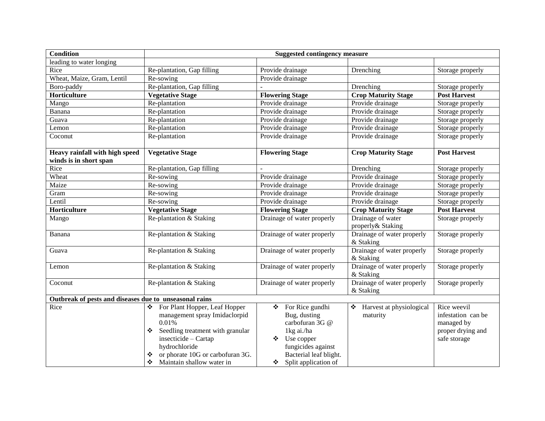| <b>Condition</b>                                               | <b>Suggested contingency measure</b>                               |                                                          |                                         |                                      |  |  |
|----------------------------------------------------------------|--------------------------------------------------------------------|----------------------------------------------------------|-----------------------------------------|--------------------------------------|--|--|
| leading to water longing                                       |                                                                    |                                                          |                                         |                                      |  |  |
| Rice                                                           | Re-plantation, Gap filling                                         | Provide drainage                                         | Drenching                               | Storage properly                     |  |  |
| Wheat, Maize, Gram, Lentil                                     | Re-sowing                                                          | Provide drainage                                         |                                         |                                      |  |  |
| Boro-paddy                                                     | Re-plantation, Gap filling                                         |                                                          | Drenching                               | Storage properly                     |  |  |
| Horticulture                                                   | <b>Vegetative Stage</b>                                            | <b>Flowering Stage</b>                                   | <b>Crop Maturity Stage</b>              | <b>Post Harvest</b>                  |  |  |
| Mango                                                          | Re-plantation                                                      | Provide drainage                                         | Provide drainage                        | Storage properly                     |  |  |
| Banana                                                         | Re-plantation                                                      | Provide drainage                                         | Provide drainage                        | Storage properly                     |  |  |
| Guava                                                          | Re-plantation                                                      | Provide drainage                                         | Provide drainage                        | Storage properly                     |  |  |
| Lemon                                                          | Re-plantation                                                      | Provide drainage                                         | Provide drainage                        | Storage properly                     |  |  |
| Coconut                                                        | Re-plantation                                                      | Provide drainage                                         | Provide drainage                        | Storage properly                     |  |  |
|                                                                |                                                                    |                                                          |                                         |                                      |  |  |
| Heavy rainfall with high speed                                 | <b>Vegetative Stage</b>                                            | <b>Flowering Stage</b>                                   | <b>Crop Maturity Stage</b>              | <b>Post Harvest</b>                  |  |  |
| winds is in short span<br>Rice                                 | Re-plantation, Gap filling                                         |                                                          | Drenching                               |                                      |  |  |
| Wheat                                                          | Re-sowing                                                          | Provide drainage                                         | Provide drainage                        | Storage properly<br>Storage properly |  |  |
| Maize                                                          | Re-sowing                                                          | Provide drainage                                         | Provide drainage                        | Storage properly                     |  |  |
| Gram                                                           | Re-sowing                                                          | Provide drainage                                         | Provide drainage                        | Storage properly                     |  |  |
| Lentil                                                         | Re-sowing                                                          | Provide drainage                                         | Provide drainage                        | Storage properly                     |  |  |
| Horticulture                                                   | <b>Vegetative Stage</b>                                            |                                                          | <b>Crop Maturity Stage</b>              | <b>Post Harvest</b>                  |  |  |
|                                                                |                                                                    |                                                          |                                         |                                      |  |  |
|                                                                |                                                                    | <b>Flowering Stage</b>                                   |                                         |                                      |  |  |
| Mango                                                          | Re-plantation & Staking                                            | Drainage of water properly                               | Drainage of water<br>properly& Staking  | Storage properly                     |  |  |
| Banana                                                         | Re-plantation & Staking                                            | Drainage of water properly                               | Drainage of water properly<br>& Staking | Storage properly                     |  |  |
| Guava                                                          | Re-plantation & Staking                                            | Drainage of water properly                               | Drainage of water properly              | Storage properly                     |  |  |
| Lemon                                                          | Re-plantation & Staking                                            | Drainage of water properly                               | & Staking<br>Drainage of water properly | Storage properly                     |  |  |
| Coconut                                                        | Re-plantation & Staking                                            | Drainage of water properly                               | & Staking<br>Drainage of water properly | Storage properly                     |  |  |
|                                                                |                                                                    |                                                          | & Staking                               |                                      |  |  |
| Outbreak of pests and diseases due to unseasonal rains<br>Rice | ❖                                                                  | For Rice gundhi<br>❖                                     | ❖ Harvest at physiological              | Rice weevil                          |  |  |
|                                                                | For Plant Hopper, Leaf Hopper<br>management spray Imidaclorpid     | Bug, dusting                                             | maturity                                | infestation can be                   |  |  |
|                                                                | 0.01%                                                              | carbofuran 3G @                                          |                                         | managed by                           |  |  |
|                                                                | Seedling treatment with granular                                   | 1kg ai./ha                                               |                                         | proper drying and                    |  |  |
|                                                                | insecticide - Cartap                                               | Use copper<br>❖                                          |                                         | safe storage                         |  |  |
|                                                                | hydrochloride                                                      | fungicides against                                       |                                         |                                      |  |  |
|                                                                | or phorate 10G or carbofuran 3G.<br>❖<br>Maintain shallow water in | Bacterial leaf blight.<br>$\bullet$ Split application of |                                         |                                      |  |  |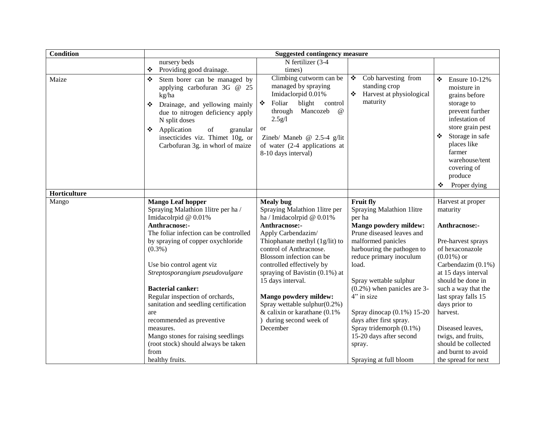| <b>Condition</b> | <b>Suggested contingency measure</b>                                                                                                                                                                                                                                                                                                                                                                                                                                                                                                 |                                                                                                                                                                                                                                                                                                                                                                                                                                                   |                                                                                                                                                                                                                                                                                                                                                                                                                                   |                                                                                                                                                                                                                                                                                                                                                                        |  |
|------------------|--------------------------------------------------------------------------------------------------------------------------------------------------------------------------------------------------------------------------------------------------------------------------------------------------------------------------------------------------------------------------------------------------------------------------------------------------------------------------------------------------------------------------------------|---------------------------------------------------------------------------------------------------------------------------------------------------------------------------------------------------------------------------------------------------------------------------------------------------------------------------------------------------------------------------------------------------------------------------------------------------|-----------------------------------------------------------------------------------------------------------------------------------------------------------------------------------------------------------------------------------------------------------------------------------------------------------------------------------------------------------------------------------------------------------------------------------|------------------------------------------------------------------------------------------------------------------------------------------------------------------------------------------------------------------------------------------------------------------------------------------------------------------------------------------------------------------------|--|
|                  | nursery beds                                                                                                                                                                                                                                                                                                                                                                                                                                                                                                                         | N fertilizer (3-4                                                                                                                                                                                                                                                                                                                                                                                                                                 |                                                                                                                                                                                                                                                                                                                                                                                                                                   |                                                                                                                                                                                                                                                                                                                                                                        |  |
|                  | Providing good drainage.<br>❖                                                                                                                                                                                                                                                                                                                                                                                                                                                                                                        | times)                                                                                                                                                                                                                                                                                                                                                                                                                                            |                                                                                                                                                                                                                                                                                                                                                                                                                                   |                                                                                                                                                                                                                                                                                                                                                                        |  |
| Maize            | Stem borer can be managed by<br>❖<br>applying carbofuran 3G $@$ 25<br>kg/ha<br>Drainage, and yellowing mainly<br>❖<br>due to nitrogen deficiency apply<br>N split doses<br>Application<br>of<br>granular<br>❖<br>insecticides viz. Thimet 10g, or<br>Carbofuran 3g. in whorl of maize                                                                                                                                                                                                                                                | Climbing cutworm can be<br>managed by spraying<br>Imidaclorpid 0.01%<br>Foliar<br>blight<br>control<br>❖<br>Mancozeb<br>through<br>$\omega$<br>2.5g/l<br><sub>or</sub><br>Zineb/ Maneb @ 2.5-4 g/lit<br>of water (2-4 applications at<br>8-10 days interval)                                                                                                                                                                                      | ❖<br>Cob harvesting from<br>standing crop<br>❖<br>Harvest at physiological<br>maturity                                                                                                                                                                                                                                                                                                                                            | ❖<br><b>Ensure 10-12%</b><br>moisture in<br>grains before<br>storage to<br>prevent further<br>infestation of<br>store grain pest<br>Storage in safe<br>❖<br>places like<br>farmer<br>warehouse/tent<br>covering of<br>produce<br>Proper dying<br>❖                                                                                                                     |  |
| Horticulture     |                                                                                                                                                                                                                                                                                                                                                                                                                                                                                                                                      |                                                                                                                                                                                                                                                                                                                                                                                                                                                   |                                                                                                                                                                                                                                                                                                                                                                                                                                   |                                                                                                                                                                                                                                                                                                                                                                        |  |
| Mango            | <b>Mango Leaf hopper</b><br>Spraying Malathion 1litre per ha /<br>Imidacolrpid @ 0.01%<br>Anthracnose:-<br>The foliar infection can be controlled<br>by spraying of copper oxychloride<br>$(0.3\%)$<br>Use bio control agent viz<br>Streptosporangium pseudovulgare<br><b>Bacterial canker:</b><br>Regular inspection of orchards,<br>sanitation and seedling certification<br>are<br>recommended as preventive<br>measures.<br>Mango stones for raising seedlings<br>(root stock) should always be taken<br>from<br>healthy fruits. | <b>Mealy</b> bug<br>Spraying Malathion 1litre per<br>ha / Imidacolrpid @ 0.01%<br>Anthracnose:-<br>Apply Carbendazim/<br>Thiophanate methyl (1g/lit) to<br>control of Anthracnose.<br>Blossom infection can be<br>controlled effectively by<br>spraying of Bavistin $(0.1\%)$ at<br>15 days interval.<br><b>Mango powdery mildew:</b><br>Spray wettable sulphur $(0.2\%)$<br>& calixin or karathane $(0.1\%$<br>during second week of<br>December | Fruit fly<br>Spraying Malathion 1litre<br>per ha<br>Mango powdery mildew:<br>Prune diseased leaves and<br>malformed panicles<br>harbouring the pathogen to<br>reduce primary inoculum<br>load.<br>Spray wettable sulphur<br>$(0.2\%)$ when panicles are 3-<br>4" in size<br>Spray dinocap $(0.1\%) 15-20$<br>days after first spray.<br>Spray tridemorph $(0.1\%)$<br>15-20 days after second<br>spray.<br>Spraying at full bloom | Harvest at proper<br>maturity<br>Anthracnose:-<br>Pre-harvest sprays<br>of hexaconazole<br>$(0.01\%)$ or<br>Carbendazim $(0.1\%)$<br>at 15 days interval<br>should be done in<br>such a way that the<br>last spray falls 15<br>days prior to<br>harvest.<br>Diseased leaves,<br>twigs, and fruits,<br>should be collected<br>and burnt to avoid<br>the spread for next |  |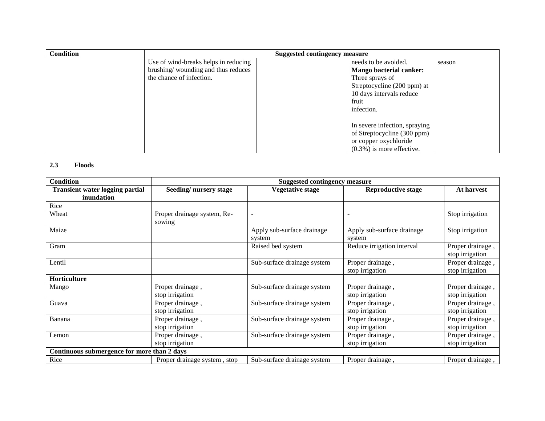| <b>Condition</b> |                                      | <b>Suggested contingency measure</b> |                                |        |
|------------------|--------------------------------------|--------------------------------------|--------------------------------|--------|
|                  | Use of wind-breaks helps in reducing |                                      | needs to be avoided.           | season |
|                  | brushing/wounding and thus reduces   |                                      | <b>Mango bacterial canker:</b> |        |
|                  | the chance of infection.             |                                      | Three sprays of                |        |
|                  |                                      |                                      | Streptocycline (200 ppm) at    |        |
|                  |                                      |                                      | 10 days intervals reduce       |        |
|                  |                                      |                                      | fruit                          |        |
|                  |                                      |                                      | infection.                     |        |
|                  |                                      |                                      |                                |        |
|                  |                                      |                                      | In severe infection, spraying  |        |
|                  |                                      |                                      | of Streptocycline (300 ppm)    |        |
|                  |                                      |                                      | or copper oxychloride          |        |
|                  |                                      |                                      | $(0.3\%)$ is more effective.   |        |

### **2.3 Floods**

| <b>Condition</b>                                     | <b>Suggested contingency measure</b>  |                                      |                                      |                                     |  |
|------------------------------------------------------|---------------------------------------|--------------------------------------|--------------------------------------|-------------------------------------|--|
| <b>Transient water logging partial</b><br>inundation | Seeding/nursery stage                 | <b>Vegetative stage</b>              | <b>Reproductive stage</b>            | At harvest                          |  |
| Rice                                                 |                                       |                                      |                                      |                                     |  |
| Wheat                                                | Proper drainage system, Re-<br>sowing |                                      |                                      | Stop irrigation                     |  |
| Maize                                                |                                       | Apply sub-surface drainage<br>system | Apply sub-surface drainage<br>system | Stop irrigation                     |  |
| Gram                                                 |                                       | Raised bed system                    | Reduce irrigation interval           | Proper drainage,<br>stop irrigation |  |
| Lentil                                               |                                       | Sub-surface drainage system          | Proper drainage,<br>stop irrigation  | Proper drainage,<br>stop irrigation |  |
| Horticulture                                         |                                       |                                      |                                      |                                     |  |
| Mango                                                | Proper drainage,<br>stop irrigation   | Sub-surface drainage system          | Proper drainage,<br>stop irrigation  | Proper drainage,<br>stop irrigation |  |
| Guava                                                | Proper drainage,<br>stop irrigation   | Sub-surface drainage system          | Proper drainage,<br>stop irrigation  | Proper drainage,<br>stop irrigation |  |
| Banana                                               | Proper drainage,<br>stop irrigation   | Sub-surface drainage system          | Proper drainage,<br>stop irrigation  | Proper drainage,<br>stop irrigation |  |
| Lemon                                                | Proper drainage,                      | Sub-surface drainage system          | Proper drainage,                     | Proper drainage,                    |  |
|                                                      | stop irrigation                       |                                      | stop irrigation                      | stop irrigation                     |  |
| Continuous submergence for more than 2 days          |                                       |                                      |                                      |                                     |  |
| Rice                                                 | Proper drainage system, stop          | Sub-surface drainage system          | Proper drainage,                     | Proper drainage,                    |  |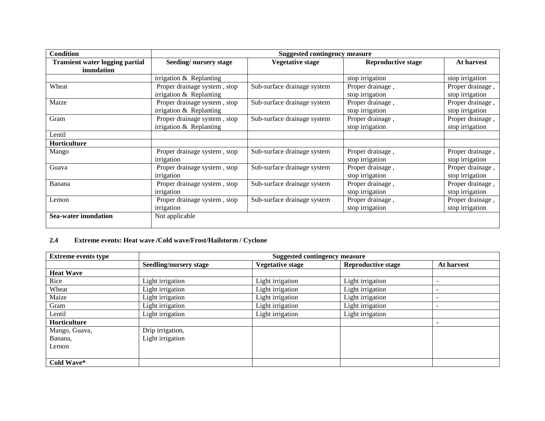| <b>Condition</b>                                     | <b>Suggested contingency measure</b>                      |                             |                                     |                                     |
|------------------------------------------------------|-----------------------------------------------------------|-----------------------------|-------------------------------------|-------------------------------------|
| <b>Transient water logging partial</b><br>inundation | Seeding/nursery stage                                     | <b>Vegetative stage</b>     | <b>Reproductive stage</b>           | At harvest                          |
|                                                      | irrigation $&$ Replanting                                 |                             | stop irrigation                     | stop irrigation                     |
| Wheat                                                | Proper drainage system, stop<br>irrigation $&$ Replanting | Sub-surface drainage system | Proper drainage,<br>stop irrigation | Proper drainage,<br>stop irrigation |
| Maize                                                | Proper drainage system, stop<br>irrigation & Replanting   | Sub-surface drainage system | Proper drainage,<br>stop irrigation | Proper drainage,<br>stop irrigation |
| Gram                                                 | Proper drainage system, stop<br>irrigation & Replanting   | Sub-surface drainage system | Proper drainage,<br>stop irrigation | Proper drainage,<br>stop irrigation |
| Lentil                                               |                                                           |                             |                                     |                                     |
| Horticulture                                         |                                                           |                             |                                     |                                     |
| Mango                                                | Proper drainage system, stop<br>irrigation                | Sub-surface drainage system | Proper drainage,<br>stop irrigation | Proper drainage,<br>stop irrigation |
| Guava                                                | Proper drainage system, stop<br>irrigation                | Sub-surface drainage system | Proper drainage,<br>stop irrigation | Proper drainage,<br>stop irrigation |
| Banana                                               | Proper drainage system, stop<br>irrigation                | Sub-surface drainage system | Proper drainage,<br>stop irrigation | Proper drainage,<br>stop irrigation |
| Lemon                                                | Proper drainage system, stop<br>irrigation                | Sub-surface drainage system | Proper drainage,<br>stop irrigation | Proper drainage,<br>stop irrigation |
| <b>Sea-water inundation</b>                          | Not applicable                                            |                             |                                     |                                     |

## **2.4 Extreme events: Heat wave /Cold wave/Frost/Hailstorm / Cyclone**

| <b>Extreme events type</b> |                               | <b>Suggested contingency measure</b> |                           |                          |  |  |
|----------------------------|-------------------------------|--------------------------------------|---------------------------|--------------------------|--|--|
|                            | <b>Seedling/nursery stage</b> | <b>Vegetative stage</b>              | <b>Reproductive stage</b> | At harvest               |  |  |
| <b>Heat Wave</b>           |                               |                                      |                           |                          |  |  |
| Rice                       | Light irrigation              | Light irrigation                     | Light irrigation          | -                        |  |  |
| Wheat                      | Light irrigation              | Light irrigation                     | Light irrigation          | $\overline{\phantom{0}}$ |  |  |
| Maize                      | Light irrigation              | Light irrigation                     | Light irrigation          | $\overline{\phantom{0}}$ |  |  |
| Gram                       | Light irrigation              | Light irrigation                     | Light irrigation          | -                        |  |  |
| Lentil                     | Light irrigation              | Light irrigation                     | Light irrigation          |                          |  |  |
| Horticulture               |                               |                                      |                           |                          |  |  |
| Mango, Guava,              | Drip irrigation,              |                                      |                           |                          |  |  |
| Banana,                    | Light irrigation              |                                      |                           |                          |  |  |
| Lemon                      |                               |                                      |                           |                          |  |  |
|                            |                               |                                      |                           |                          |  |  |
| Cold Wave*                 |                               |                                      |                           |                          |  |  |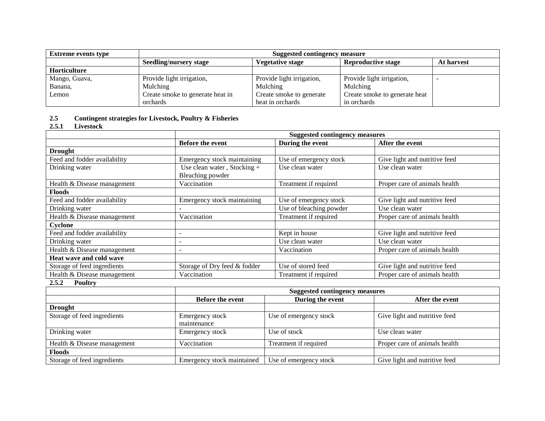| <b>Extreme events type</b> | <b>Suggested contingency measure</b> |                           |                               |            |  |  |
|----------------------------|--------------------------------------|---------------------------|-------------------------------|------------|--|--|
|                            | Seedling/nursery stage               | <b>Vegetative stage</b>   | <b>Reproductive stage</b>     | At harvest |  |  |
| Horticulture               |                                      |                           |                               |            |  |  |
| Mango, Guava,              | Provide light irrigation,            | Provide light irrigation, | Provide light irrigation,     |            |  |  |
| Banana,                    | Mulching                             | Mulching                  | Mulching                      |            |  |  |
| Lemon                      | Create smoke to generate heat in     | Create smoke to generate  | Create smoke to generate heat |            |  |  |
|                            | orchards                             | heat in orchards          | in orchards                   |            |  |  |

# **2.5 Contingent strategies for Livestock, Poultry & Fisheries**

**2.5.1 Livestock** 

|                              | <b>Suggested contingency measures</b>             |                         |                               |
|------------------------------|---------------------------------------------------|-------------------------|-------------------------------|
|                              | <b>Before the event</b>                           | During the event        | After the event               |
| <b>Drought</b>               |                                                   |                         |                               |
| Feed and fodder availability | Emergency stock maintaining                       | Use of emergency stock  | Give light and nutritive feed |
| Drinking water               | Use clean water, Stocking $+$<br>Bleaching powder | Use clean water         | Use clean water               |
| Health & Disease management  | Vaccination                                       | Treatment if required   | Proper care of animals health |
| <b>Floods</b>                |                                                   |                         |                               |
| Feed and fodder availability | Emergency stock maintaining                       | Use of emergency stock  | Give light and nutritive feed |
| Drinking water               |                                                   | Use of bleaching powder | Use clean water               |
| Health & Disease management  | Vaccination                                       | Treatment if required   | Proper care of animals health |
| Cyclone                      |                                                   |                         |                               |
| Feed and fodder availability | -                                                 | Kept in house           | Give light and nutritive feed |
| Drinking water               |                                                   | Use clean water         | Use clean water               |
| Health & Disease management  |                                                   | Vaccination             | Proper care of animals health |
| Heat wave and cold wave      |                                                   |                         |                               |
| Storage of feed ingredients  | Storage of Dry feed & fodder                      | Use of stored feed      | Give light and nutritive feed |
| Health & Disease management  | Vaccination                                       | Treatment if required   | Proper care of animals health |

#### **2.5.2 Poultry**

|                             |                                | <b>Suggested contingency measures</b> |                               |  |
|-----------------------------|--------------------------------|---------------------------------------|-------------------------------|--|
|                             | <b>Before the event</b>        | During the event                      | After the event               |  |
| <b>Drought</b>              |                                |                                       |                               |  |
| Storage of feed ingredients | Emergency stock<br>maintenance | Use of emergency stock                | Give light and nutritive feed |  |
| Drinking water              | Emergency stock                | Use of stock                          | Use clean water               |  |
| Health & Disease management | Vaccination                    | Treatment if required                 | Proper care of animals health |  |
| <b>Floods</b>               |                                |                                       |                               |  |
| Storage of feed ingredients | Emergency stock maintained     | Use of emergency stock                | Give light and nutritive feed |  |